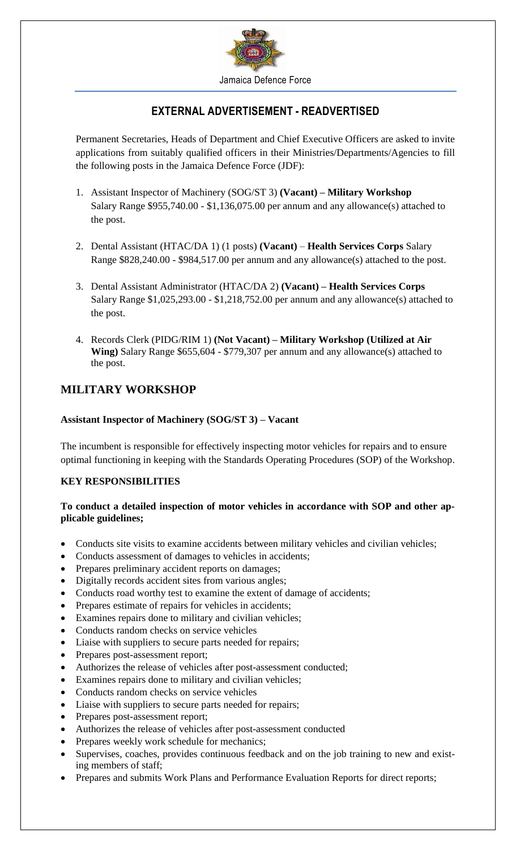

# **EXTERNAL ADVERTISEMENT - READVERTISED**

Permanent Secretaries, Heads of Department and Chief Executive Officers are asked to invite applications from suitably qualified officers in their Ministries/Departments/Agencies to fill the following posts in the Jamaica Defence Force (JDF):

- 1. Assistant Inspector of Machinery (SOG/ST 3) **(Vacant) – Military Workshop** Salary Range \$955,740.00 - \$1,136,075.00 per annum and any allowance(s) attached to the post.
- 2. Dental Assistant (HTAC/DA 1) (1 posts) **(Vacant) Health Services Corps** Salary Range \$828,240.00 - \$984,517.00 per annum and any allowance(s) attached to the post.
- 3. Dental Assistant Administrator (HTAC/DA 2) **(Vacant) – Health Services Corps** Salary Range \$1,025,293.00 - \$1,218,752.00 per annum and any allowance(s) attached to the post.
- 4. Records Clerk (PIDG/RIM 1) **(Not Vacant) – Military Workshop (Utilized at Air Wing)** Salary Range \$655,604 - \$779,307 per annum and any allowance(s) attached to the post.

# **MILITARY WORKSHOP**

### **Assistant Inspector of Machinery (SOG/ST 3) – Vacant**

The incumbent is responsible for effectively inspecting motor vehicles for repairs and to ensure optimal functioning in keeping with the Standards Operating Procedures (SOP) of the Workshop.

## **KEY RESPONSIBILITIES**

## **To conduct a detailed inspection of motor vehicles in accordance with SOP and other applicable guidelines;**

- Conducts site visits to examine accidents between military vehicles and civilian vehicles;
- Conducts assessment of damages to vehicles in accidents;
- Prepares preliminary accident reports on damages;
- Digitally records accident sites from various angles;
- Conducts road worthy test to examine the extent of damage of accidents;
- Prepares estimate of repairs for vehicles in accidents;
- Examines repairs done to military and civilian vehicles;
- Conducts random checks on service vehicles
- Liaise with suppliers to secure parts needed for repairs;
- Prepares post-assessment report;
- Authorizes the release of vehicles after post-assessment conducted;
- Examines repairs done to military and civilian vehicles;
- Conducts random checks on service vehicles
- Liaise with suppliers to secure parts needed for repairs;
- Prepares post-assessment report;
- Authorizes the release of vehicles after post-assessment conducted
- Prepares weekly work schedule for mechanics;
- Supervises, coaches, provides continuous feedback and on the job training to new and existing members of staff;
- Prepares and submits Work Plans and Performance Evaluation Reports for direct reports;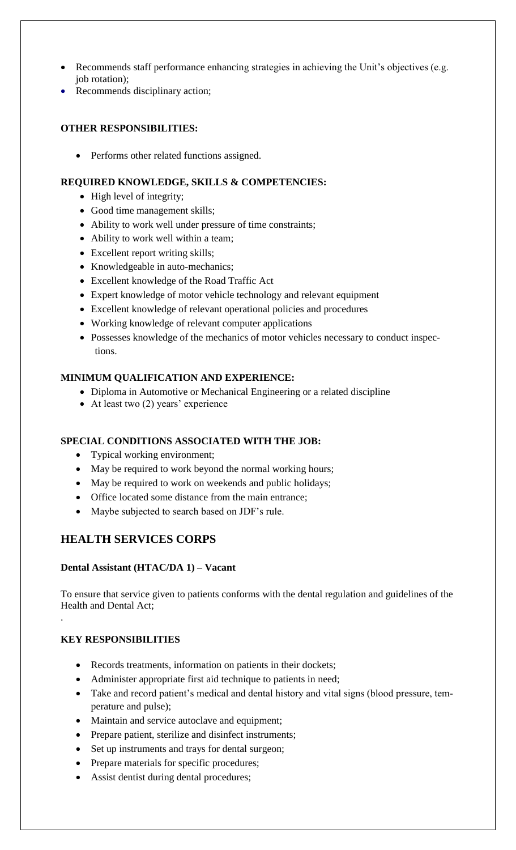- Recommends staff performance enhancing strategies in achieving the Unit's objectives (e.g. job rotation);
- Recommends disciplinary action;

## **OTHER RESPONSIBILITIES:**

• Performs other related functions assigned.

## **REQUIRED KNOWLEDGE, SKILLS & COMPETENCIES:**

- High level of integrity;
- Good time management skills;
- Ability to work well under pressure of time constraints;
- Ability to work well within a team;
- Excellent report writing skills;
- Knowledgeable in auto-mechanics;
- Excellent knowledge of the Road Traffic Act
- Expert knowledge of motor vehicle technology and relevant equipment
- Excellent knowledge of relevant operational policies and procedures
- Working knowledge of relevant computer applications
- Possesses knowledge of the mechanics of motor vehicles necessary to conduct inspections.

## **MINIMUM QUALIFICATION AND EXPERIENCE:**

- Diploma in Automotive or Mechanical Engineering or a related discipline
- At least two (2) years' experience

## **SPECIAL CONDITIONS ASSOCIATED WITH THE JOB:**

- Typical working environment;
- May be required to work beyond the normal working hours;
- May be required to work on weekends and public holidays;
- Office located some distance from the main entrance;
- Maybe subjected to search based on JDF's rule.

# **HEALTH SERVICES CORPS**

## **Dental Assistant (HTAC/DA 1) – Vacant**

To ensure that service given to patients conforms with the dental regulation and guidelines of the Health and Dental Act; .

## **KEY RESPONSIBILITIES**

- Records treatments, information on patients in their dockets;
- Administer appropriate first aid technique to patients in need;
- Take and record patient's medical and dental history and vital signs (blood pressure, temperature and pulse);
- Maintain and service autoclave and equipment;
- Prepare patient, sterilize and disinfect instruments;
- Set up instruments and trays for dental surgeon;
- Prepare materials for specific procedures;
- Assist dentist during dental procedures;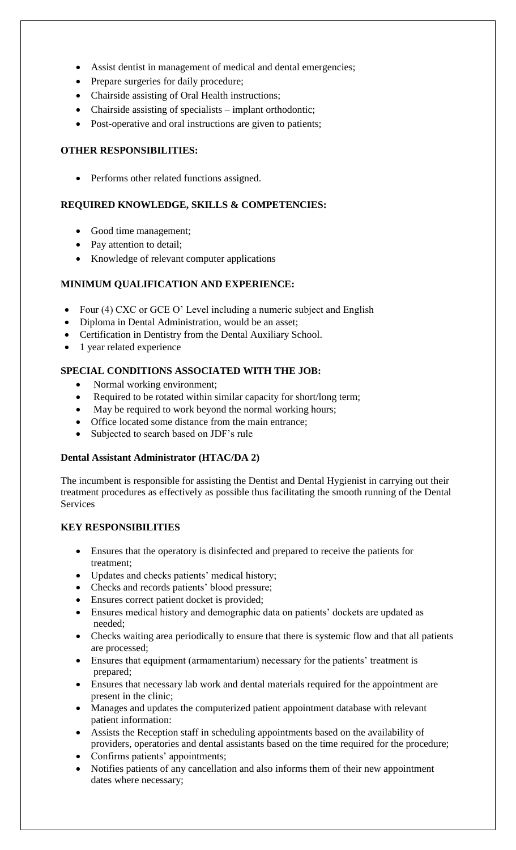- Assist dentist in management of medical and dental emergencies;
- Prepare surgeries for daily procedure;
- Chairside assisting of Oral Health instructions;
- Chairside assisting of specialists implant orthodontic;
- Post-operative and oral instructions are given to patients;

#### **OTHER RESPONSIBILITIES:**

• Performs other related functions assigned.

#### **REQUIRED KNOWLEDGE, SKILLS & COMPETENCIES:**

- Good time management;
- Pay attention to detail;
- Knowledge of relevant computer applications

#### **MINIMUM QUALIFICATION AND EXPERIENCE:**

- Four (4) CXC or GCE O' Level including a numeric subject and English
- Diploma in Dental Administration, would be an asset;
- Certification in Dentistry from the Dental Auxiliary School.
- 1 year related experience

#### **SPECIAL CONDITIONS ASSOCIATED WITH THE JOB:**

- Normal working environment;
- Required to be rotated within similar capacity for short/long term;
- May be required to work beyond the normal working hours;
- Office located some distance from the main entrance;
- Subjected to search based on JDF's rule

#### **Dental Assistant Administrator (HTAC/DA 2)**

The incumbent is responsible for assisting the Dentist and Dental Hygienist in carrying out their treatment procedures as effectively as possible thus facilitating the smooth running of the Dental Services

## **KEY RESPONSIBILITIES**

- Ensures that the operatory is disinfected and prepared to receive the patients for treatment;
- Updates and checks patients' medical history;
- Checks and records patients' blood pressure;
- Ensures correct patient docket is provided;
- Ensures medical history and demographic data on patients' dockets are updated as needed;
- Checks waiting area periodically to ensure that there is systemic flow and that all patients are processed;
- Ensures that equipment (armamentarium) necessary for the patients' treatment is prepared;
- Ensures that necessary lab work and dental materials required for the appointment are present in the clinic;
- Manages and updates the computerized patient appointment database with relevant patient information:
- Assists the Reception staff in scheduling appointments based on the availability of providers, operatories and dental assistants based on the time required for the procedure;
- Confirms patients' appointments;
- Notifies patients of any cancellation and also informs them of their new appointment dates where necessary;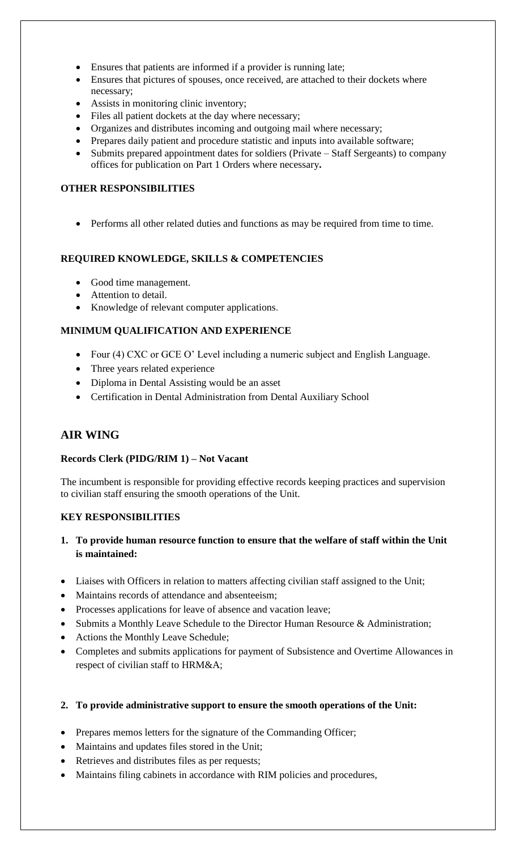- Ensures that patients are informed if a provider is running late;
- Ensures that pictures of spouses, once received, are attached to their dockets where necessary;
- Assists in monitoring clinic inventory;
- Files all patient dockets at the day where necessary;
- Organizes and distributes incoming and outgoing mail where necessary;
- Prepares daily patient and procedure statistic and inputs into available software;
- Submits prepared appointment dates for soldiers (Private Staff Sergeants) to company offices for publication on Part 1 Orders where necessary**.**

## **OTHER RESPONSIBILITIES**

Performs all other related duties and functions as may be required from time to time.

## **REQUIRED KNOWLEDGE, SKILLS & COMPETENCIES**

- Good time management.
- Attention to detail.
- Knowledge of relevant computer applications.

## **MINIMUM QUALIFICATION AND EXPERIENCE**

- Four (4) CXC or GCE O' Level including a numeric subject and English Language.
- Three years related experience
- Diploma in Dental Assisting would be an asset
- Certification in Dental Administration from Dental Auxiliary School

# **AIR WING**

## **Records Clerk (PIDG/RIM 1) – Not Vacant**

The incumbent is responsible for providing effective records keeping practices and supervision to civilian staff ensuring the smooth operations of the Unit.

## **KEY RESPONSIBILITIES**

- **1. To provide human resource function to ensure that the welfare of staff within the Unit is maintained:**
- Liaises with Officers in relation to matters affecting civilian staff assigned to the Unit;
- Maintains records of attendance and absenteeism;
- Processes applications for leave of absence and vacation leave;
- Submits a Monthly Leave Schedule to the Director Human Resource & Administration;
- Actions the Monthly Leave Schedule;
- Completes and submits applications for payment of Subsistence and Overtime Allowances in respect of civilian staff to HRM&A;

## **2. To provide administrative support to ensure the smooth operations of the Unit:**

- Prepares memos letters for the signature of the Commanding Officer;
- Maintains and updates files stored in the Unit;
- Retrieves and distributes files as per requests;
- Maintains filing cabinets in accordance with RIM policies and procedures,